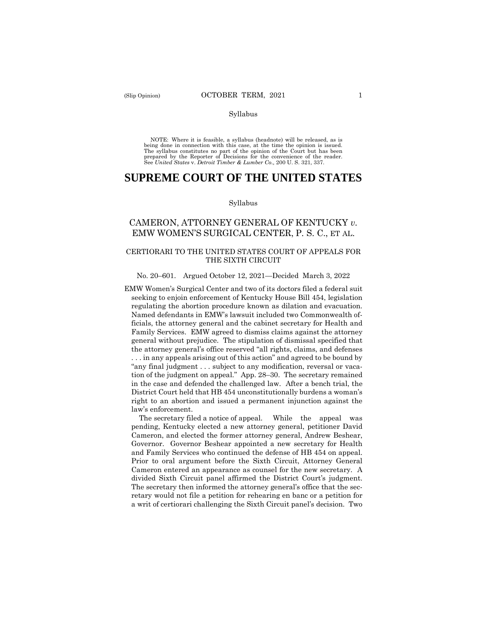#### Syllabus

NOTE: Where it is feasible, a syllabus (headnote) will be released, as is being done in connection with this case, at the time the opinion is issued. The syllabus constitutes no part of the opinion of the Court but has been prepared by the Reporter of Decisions for the convenience of the reader. See *United States* v. *Detroit Timber & Lumber Co.,* 200 U. S. 321, 337.

# **SUPREME COURT OF THE UNITED STATES**

### Syllabus

# CAMERON, ATTORNEY GENERAL OF KENTUCKY *v*. EMW WOMEN'S SURGICAL CENTER, P. S. C., ET AL.

# CERTIORARI TO THE UNITED STATES COURT OF APPEALS FOR THE SIXTH CIRCUIT

#### No. 20–601. Argued October 12, 2021—Decided March 3, 2022

EMW Women's Surgical Center and two of its doctors filed a federal suit seeking to enjoin enforcement of Kentucky House Bill 454, legislation regulating the abortion procedure known as dilation and evacuation. Named defendants in EMW's lawsuit included two Commonwealth officials, the attorney general and the cabinet secretary for Health and Family Services. EMW agreed to dismiss claims against the attorney general without prejudice. The stipulation of dismissal specified that the attorney general's office reserved "all rights, claims, and defenses . . . in any appeals arising out of this action" and agreed to be bound by "any final judgment . . . subject to any modification, reversal or vacation of the judgment on appeal." App. 28–30. The secretary remained in the case and defended the challenged law. After a bench trial, the District Court held that HB 454 unconstitutionally burdens a woman's right to an abortion and issued a permanent injunction against the law's enforcement.

 The secretary filed a notice of appeal. While the appeal was pending, Kentucky elected a new attorney general, petitioner David Cameron, and elected the former attorney general, Andrew Beshear, Governor. Governor Beshear appointed a new secretary for Health and Family Services who continued the defense of HB 454 on appeal. Prior to oral argument before the Sixth Circuit, Attorney General Cameron entered an appearance as counsel for the new secretary. A divided Sixth Circuit panel affirmed the District Court's judgment. The secretary then informed the attorney general's office that the secretary would not file a petition for rehearing en banc or a petition for a writ of certiorari challenging the Sixth Circuit panel's decision. Two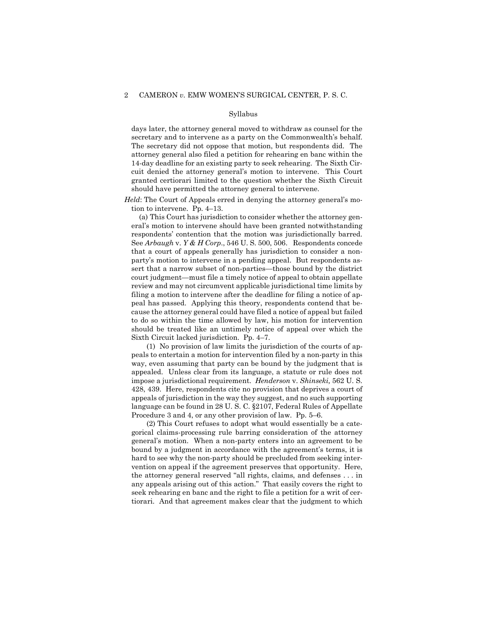#### Syllabus

days later, the attorney general moved to withdraw as counsel for the secretary and to intervene as a party on the Commonwealth's behalf. The secretary did not oppose that motion, but respondents did. The attorney general also filed a petition for rehearing en banc within the 14-day deadline for an existing party to seek rehearing. The Sixth Circuit denied the attorney general's motion to intervene. This Court granted certiorari limited to the question whether the Sixth Circuit should have permitted the attorney general to intervene.

## *Held*: The Court of Appeals erred in denying the attorney general's motion to intervene. Pp. 4–13.

 (a) This Court has jurisdiction to consider whether the attorney general's motion to intervene should have been granted notwithstanding respondents' contention that the motion was jurisdictionally barred. See *Arbaugh* v. *Y & H Corp*., 546 U. S. 500, 506. Respondents concede that a court of appeals generally has jurisdiction to consider a nonparty's motion to intervene in a pending appeal. But respondents assert that a narrow subset of non-parties—those bound by the district court judgment—must file a timely notice of appeal to obtain appellate review and may not circumvent applicable jurisdictional time limits by filing a motion to intervene after the deadline for filing a notice of appeal has passed. Applying this theory, respondents contend that because the attorney general could have filed a notice of appeal but failed to do so within the time allowed by law, his motion for intervention should be treated like an untimely notice of appeal over which the Sixth Circuit lacked jurisdiction. Pp. 4–7.

 (1) No provision of law limits the jurisdiction of the courts of appeals to entertain a motion for intervention filed by a non-party in this way, even assuming that party can be bound by the judgment that is appealed. Unless clear from its language, a statute or rule does not impose a jurisdictional requirement. *Henderson* v. *Shinseki,* 562 U. S. 428, 439. Here, respondents cite no provision that deprives a court of appeals of jurisdiction in the way they suggest, and no such supporting language can be found in 28 U. S. C. §2107, Federal Rules of Appellate Procedure 3 and 4, or any other provision of law. Pp. 5–6.

 (2) This Court refuses to adopt what would essentially be a categorical claims-processing rule barring consideration of the attorney general's motion. When a non-party enters into an agreement to be bound by a judgment in accordance with the agreement's terms, it is hard to see why the non-party should be precluded from seeking intervention on appeal if the agreement preserves that opportunity. Here, the attorney general reserved "all rights, claims, and defenses . . . in any appeals arising out of this action." That easily covers the right to seek rehearing en banc and the right to file a petition for a writ of certiorari. And that agreement makes clear that the judgment to which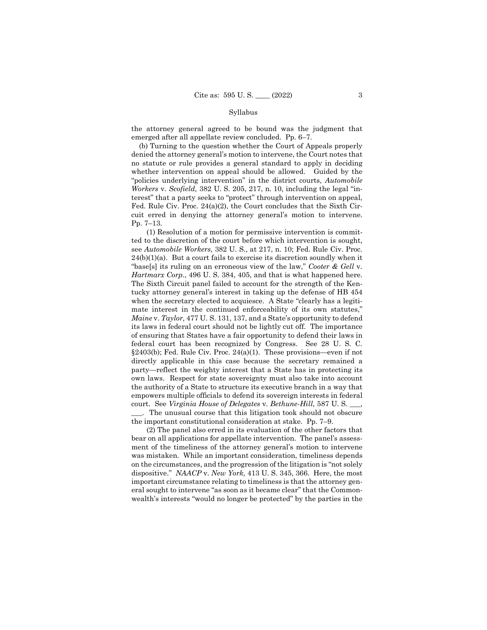### Syllabus

the attorney general agreed to be bound was the judgment that emerged after all appellate review concluded. Pp. 6–7.

 (b) Turning to the question whether the Court of Appeals properly denied the attorney general's motion to intervene, the Court notes that no statute or rule provides a general standard to apply in deciding whether intervention on appeal should be allowed. Guided by the "policies underlying intervention" in the district courts, *Automobile Workers* v. *Scofield,* 382 U. S. 205, 217, n. 10, including the legal "interest" that a party seeks to "protect" through intervention on appeal, Fed. Rule Civ. Proc. 24(a)(2), the Court concludes that the Sixth Circuit erred in denying the attorney general's motion to intervene. Pp. 7–13.

 (1) Resolution of a motion for permissive intervention is committed to the discretion of the court before which intervention is sought, see *Automobile Workers*, 382 U. S., at 217, n. 10; Fed. Rule Civ. Proc.  $24(b)(1)(a)$ . But a court fails to exercise its discretion soundly when it "base[s] its ruling on an erroneous view of the law," *Cooter & Gell* v. *Hartmarx Corp*., 496 U. S. 384, 405, and that is what happened here. The Sixth Circuit panel failed to account for the strength of the Kentucky attorney general's interest in taking up the defense of HB 454 when the secretary elected to acquiesce. A State "clearly has a legitimate interest in the continued enforceability of its own statutes," *Maine* v. *Taylor,* 477 U. S. 131, 137, and a State's opportunity to defend its laws in federal court should not be lightly cut off. The importance of ensuring that States have a fair opportunity to defend their laws in federal court has been recognized by Congress. See 28 U. S. C.  $§2403(b)$ ; Fed. Rule Civ. Proc. 24(a)(1). These provisions—even if not directly applicable in this case because the secretary remained a party—reflect the weighty interest that a State has in protecting its own laws. Respect for state sovereignty must also take into account the authority of a State to structure its executive branch in a way that empowers multiple officials to defend its sovereign interests in federal court. See *Virginia House of Delegates* v. *Bethune-Hill*, 587 U. S. \_\_\_,

\_\_\_. The unusual course that this litigation took should not obscure the important constitutional consideration at stake. Pp. 7–9.

 (2) The panel also erred in its evaluation of the other factors that bear on all applications for appellate intervention. The panel's assessment of the timeliness of the attorney general's motion to intervene was mistaken. While an important consideration, timeliness depends on the circumstances, and the progression of the litigation is "not solely dispositive." *NAACP* v. *New York,* 413 U. S. 345, 366. Here, the most important circumstance relating to timeliness is that the attorney general sought to intervene "as soon as it became clear" that the Commonwealth's interests "would no longer be protected" by the parties in the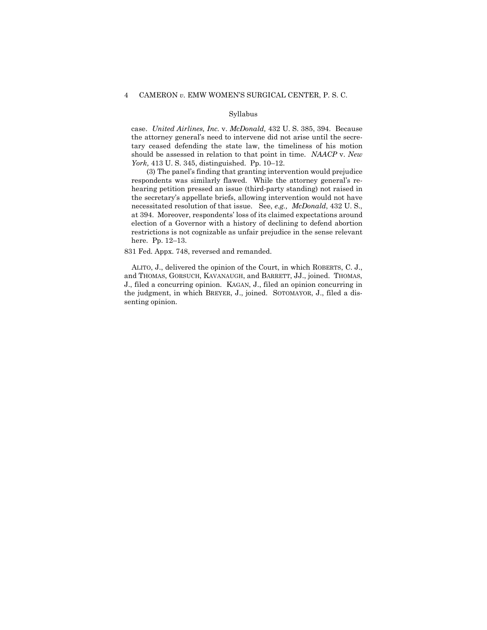## Syllabus

case. *United Airlines, Inc.* v. *McDonald,* 432 U. S. 385, 394. Because the attorney general's need to intervene did not arise until the secretary ceased defending the state law, the timeliness of his motion should be assessed in relation to that point in time. *NAACP* v. *New York,* 413 U. S. 345, distinguished. Pp. 10–12.

 (3) The panel's finding that granting intervention would prejudice respondents was similarly flawed. While the attorney general's rehearing petition pressed an issue (third-party standing) not raised in the secretary's appellate briefs, allowing intervention would not have necessitated resolution of that issue. See, *e.g., McDonald*, 432 U. S., at 394. Moreover, respondents' loss of its claimed expectations around election of a Governor with a history of declining to defend abortion restrictions is not cognizable as unfair prejudice in the sense relevant here. Pp. 12–13.

831 Fed. Appx. 748, reversed and remanded.

 ALITO, J., delivered the opinion of the Court, in which ROBERTS, C. J., and THOMAS, GORSUCH, KAVANAUGH, and BARRETT, JJ., joined. THOMAS, J., filed a concurring opinion. KAGAN, J., filed an opinion concurring in the judgment, in which BREYER, J., joined. SOTOMAYOR, J., filed a dissenting opinion.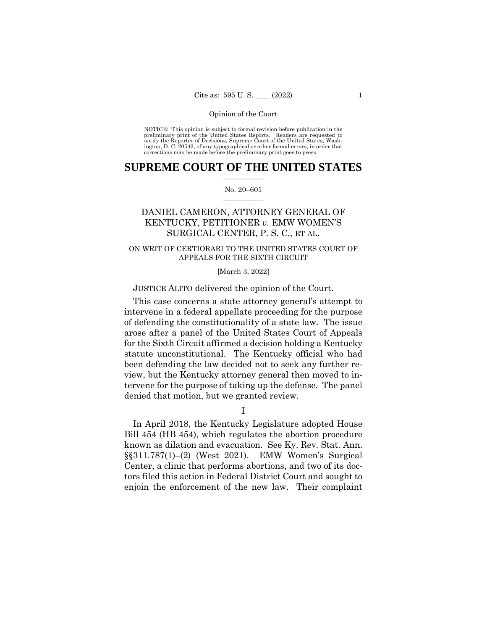NOTICE: This opinion is subject to formal revision before publication in the preliminary print of the United States Reports. Readers are requested to notify the Reporter of Decisions, Supreme Court of the United States, Washington, D. C. 20543, of any typographical or other formal errors, in order that corrections may be made before the preliminary print goes to press.

# **SUPREME COURT OF THE UNITED STATES**  $\overline{\phantom{a}}$  , where  $\overline{\phantom{a}}$

### No. 20–601  $\overline{\phantom{a}}$  , where  $\overline{\phantom{a}}$

# DANIEL CAMERON, ATTORNEY GENERAL OF KENTUCKY, PETITIONER *v.* EMW WOMEN'S SURGICAL CENTER, P. S. C., ET AL.

# ON WRIT OF CERTIORARI TO THE UNITED STATES COURT OF APPEALS FOR THE SIXTH CIRCUIT

# [March 3, 2022]

# JUSTICE ALITO delivered the opinion of the Court.

This case concerns a state attorney general's attempt to intervene in a federal appellate proceeding for the purpose of defending the constitutionality of a state law. The issue arose after a panel of the United States Court of Appeals for the Sixth Circuit affirmed a decision holding a Kentucky statute unconstitutional. The Kentucky official who had been defending the law decided not to seek any further review, but the Kentucky attorney general then moved to intervene for the purpose of taking up the defense. The panel denied that motion, but we granted review.

I

In April 2018, the Kentucky Legislature adopted House Bill 454 (HB 454), which regulates the abortion procedure known as dilation and evacuation. See Ky. Rev. Stat. Ann. §§311.787(1)–(2) (West 2021). EMW Women's Surgical Center, a clinic that performs abortions, and two of its doctors filed this action in Federal District Court and sought to enjoin the enforcement of the new law. Their complaint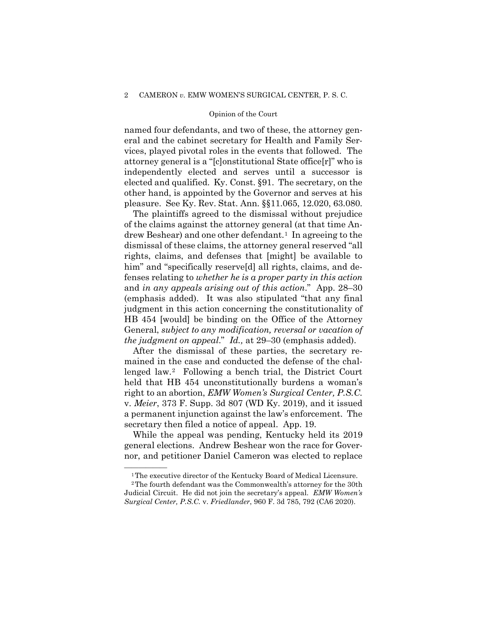named four defendants, and two of these, the attorney general and the cabinet secretary for Health and Family Services, played pivotal roles in the events that followed. The attorney general is a "[c]onstitutional State office[r]" who is independently elected and serves until a successor is elected and qualified. Ky. Const. §91. The secretary, on the other hand, is appointed by the Governor and serves at his pleasure. See Ky. Rev. Stat. Ann. §§11.065, 12.020, 63.080.

The plaintiffs agreed to the dismissal without prejudice of the claims against the attorney general (at that time Andrew Beshear) and one other defendant.<sup>1</sup> In agreeing to the dismissal of these claims, the attorney general reserved "all rights, claims, and defenses that [might] be available to him" and "specifically reserve<sup>[d]</sup> all rights, claims, and defenses relating to *whether he is a proper party in this action* and *in any appeals arising out of this action*." App. 28–30 (emphasis added). It was also stipulated "that any final judgment in this action concerning the constitutionality of HB 454 [would] be binding on the Office of the Attorney General, *subject to any modification, reversal or vacation of the judgment on appeal*." *Id.,* at 29–30 (emphasis added).

After the dismissal of these parties, the secretary remained in the case and conducted the defense of the challenged law.[2](#page-5-1) Following a bench trial, the District Court held that HB 454 unconstitutionally burdens a woman's right to an abortion, *EMW Women's Surgical Center, P.S.C.* v. *Meier*, 373 F. Supp. 3d 807 (WD Ky. 2019), and it issued a permanent injunction against the law's enforcement. The secretary then filed a notice of appeal. App. 19.

While the appeal was pending, Kentucky held its 2019 general elections. Andrew Beshear won the race for Governor, and petitioner Daniel Cameron was elected to replace

<sup>&</sup>lt;sup>1</sup>The executive director of the Kentucky Board of Medical Licensure.

<span id="page-5-1"></span><span id="page-5-0"></span><sup>2</sup>The fourth defendant was the Commonwealth's attorney for the 30th Judicial Circuit. He did not join the secretary's appeal. *EMW Women's Surgical Center, P.S.C.* v. *Friedlander*, 960 F. 3d 785, 792 (CA6 2020).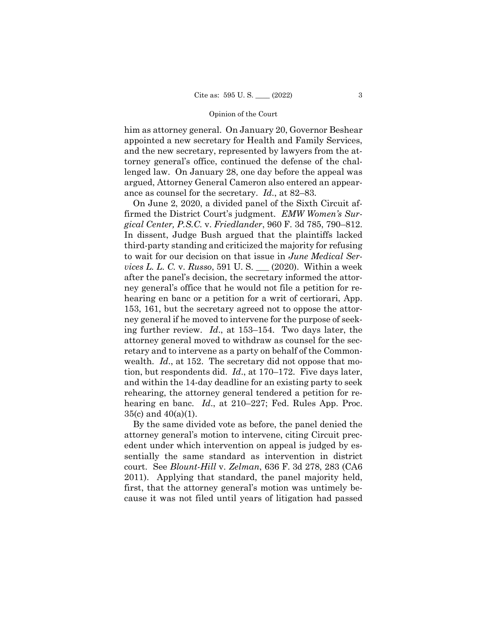him as attorney general. On January 20, Governor Beshear appointed a new secretary for Health and Family Services, and the new secretary, represented by lawyers from the attorney general's office, continued the defense of the challenged law. On January 28, one day before the appeal was argued, Attorney General Cameron also entered an appearance as counsel for the secretary. *Id*., at 82–83.

On June 2, 2020, a divided panel of the Sixth Circuit affirmed the District Court's judgment. *EMW Women's Surgical Center, P.S.C.* v. *Friedlander*, 960 F. 3d 785, 790–812. In dissent, Judge Bush argued that the plaintiffs lacked third-party standing and criticized the majority for refusing to wait for our decision on that issue in *June Medical Services L. L. C.* v. *Russo*, 591 U. S. \_\_\_ (2020). Within a week after the panel's decision, the secretary informed the attorney general's office that he would not file a petition for rehearing en banc or a petition for a writ of certiorari, App. 153, 161, but the secretary agreed not to oppose the attorney general if he moved to intervene for the purpose of seeking further review. *Id*., at 153–154. Two days later, the attorney general moved to withdraw as counsel for the secretary and to intervene as a party on behalf of the Commonwealth. *Id*., at 152. The secretary did not oppose that motion, but respondents did. *Id*., at 170–172. Five days later, and within the 14-day deadline for an existing party to seek rehearing, the attorney general tendered a petition for rehearing en banc. *Id*., at 210–227; Fed. Rules App. Proc. 35(c) and 40(a)(1).

By the same divided vote as before, the panel denied the attorney general's motion to intervene, citing Circuit precedent under which intervention on appeal is judged by essentially the same standard as intervention in district court. See *Blount-Hill* v. *Zelman*, 636 F. 3d 278, 283 (CA6 2011). Applying that standard, the panel majority held, first, that the attorney general's motion was untimely because it was not filed until years of litigation had passed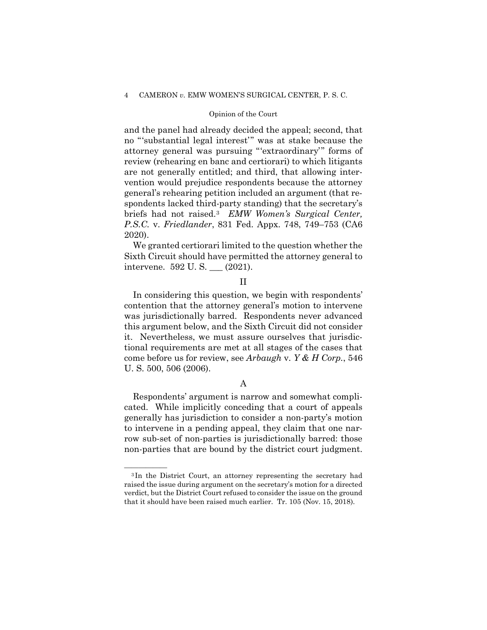# Opinion of the Court

and the panel had already decided the appeal; second, that no "'substantial legal interest'" was at stake because the attorney general was pursuing "'extraordinary'" forms of review (rehearing en banc and certiorari) to which litigants are not generally entitled; and third, that allowing intervention would prejudice respondents because the attorney general's rehearing petition included an argument (that respondents lacked third-party standing) that the secretary's briefs had not raised.[3](#page-7-0) *EMW Women's Surgical Center, P.S.C.* v. *Friedlander*, 831 Fed. Appx. 748, 749–753 (CA6 2020).

We granted certiorari limited to the question whether the Sixth Circuit should have permitted the attorney general to intervene. 592 U. S. \_\_\_ (2021).

# II

In considering this question, we begin with respondents' contention that the attorney general's motion to intervene was jurisdictionally barred. Respondents never advanced this argument below, and the Sixth Circuit did not consider it. Nevertheless, we must assure ourselves that jurisdictional requirements are met at all stages of the cases that come before us for review, see *Arbaugh* v. *Y & H Corp.*, 546 U. S. 500, 506 (2006).

# A

Respondents' argument is narrow and somewhat complicated. While implicitly conceding that a court of appeals generally has jurisdiction to consider a non-party's motion to intervene in a pending appeal, they claim that one narrow sub-set of non-parties is jurisdictionally barred: those non-parties that are bound by the district court judgment.

<span id="page-7-0"></span><sup>&</sup>lt;sup>3</sup>In the District Court, an attorney representing the secretary had raised the issue during argument on the secretary's motion for a directed verdict, but the District Court refused to consider the issue on the ground that it should have been raised much earlier. Tr. 105 (Nov. 15, 2018).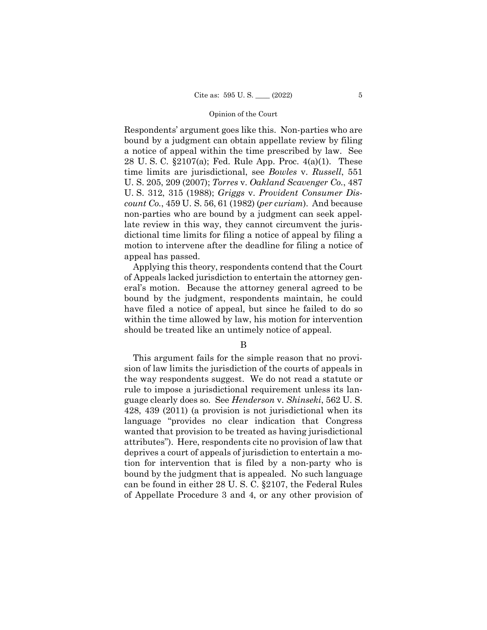Respondents' argument goes like this. Non-parties who are bound by a judgment can obtain appellate review by filing a notice of appeal within the time prescribed by law. See 28 U. S. C. §2107(a); Fed. Rule App. Proc. 4(a)(1). These time limits are jurisdictional, see *Bowles* v. *Russell*, 551 U. S. 205, 209 (2007); *Torres* v. *Oakland Scavenger Co.*, 487 U. S. 312, 315 (1988); *Griggs* v. *Provident Consumer Discount Co.*, 459 U. S. 56, 61 (1982) (*per curiam*). And because non-parties who are bound by a judgment can seek appellate review in this way, they cannot circumvent the jurisdictional time limits for filing a notice of appeal by filing a motion to intervene after the deadline for filing a notice of appeal has passed.

Applying this theory, respondents contend that the Court of Appeals lacked jurisdiction to entertain the attorney general's motion. Because the attorney general agreed to be bound by the judgment, respondents maintain, he could have filed a notice of appeal, but since he failed to do so within the time allowed by law, his motion for intervention should be treated like an untimely notice of appeal.

# B

This argument fails for the simple reason that no provision of law limits the jurisdiction of the courts of appeals in the way respondents suggest. We do not read a statute or rule to impose a jurisdictional requirement unless its language clearly does so. See *Henderson* v. *Shinseki*, 562 U. S. 428, 439 (2011) (a provision is not jurisdictional when its language "provides no clear indication that Congress wanted that provision to be treated as having jurisdictional attributes"). Here, respondents cite no provision of law that deprives a court of appeals of jurisdiction to entertain a motion for intervention that is filed by a non-party who is bound by the judgment that is appealed. No such language can be found in either 28 U. S. C. §2107, the Federal Rules of Appellate Procedure 3 and 4, or any other provision of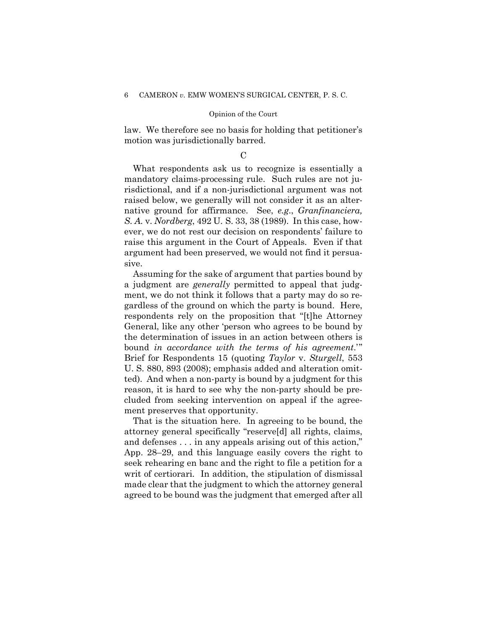law. We therefore see no basis for holding that petitioner's motion was jurisdictionally barred.

# $\mathcal{C}$

What respondents ask us to recognize is essentially a mandatory claims-processing rule. Such rules are not jurisdictional, and if a non-jurisdictional argument was not raised below, we generally will not consider it as an alternative ground for affirmance. See, *e.g*., *Granfinanciera, S. A.* v. *Nordberg*, 492 U. S. 33, 38 (1989). In this case, however, we do not rest our decision on respondents' failure to raise this argument in the Court of Appeals. Even if that argument had been preserved, we would not find it persuasive.

Assuming for the sake of argument that parties bound by a judgment are *generally* permitted to appeal that judgment, we do not think it follows that a party may do so regardless of the ground on which the party is bound. Here, respondents rely on the proposition that "[t]he Attorney General, like any other 'person who agrees to be bound by the determination of issues in an action between others is bound *in accordance with the terms of his agreement*.'" Brief for Respondents 15 (quoting *Taylor* v. *Sturgell*, 553 U. S. 880, 893 (2008); emphasis added and alteration omitted). And when a non-party is bound by a judgment for this reason, it is hard to see why the non-party should be precluded from seeking intervention on appeal if the agreement preserves that opportunity.

That is the situation here. In agreeing to be bound, the attorney general specifically "reserve[d] all rights, claims, and defenses . . . in any appeals arising out of this action," App. 28–29, and this language easily covers the right to seek rehearing en banc and the right to file a petition for a writ of certiorari. In addition, the stipulation of dismissal made clear that the judgment to which the attorney general agreed to be bound was the judgment that emerged after all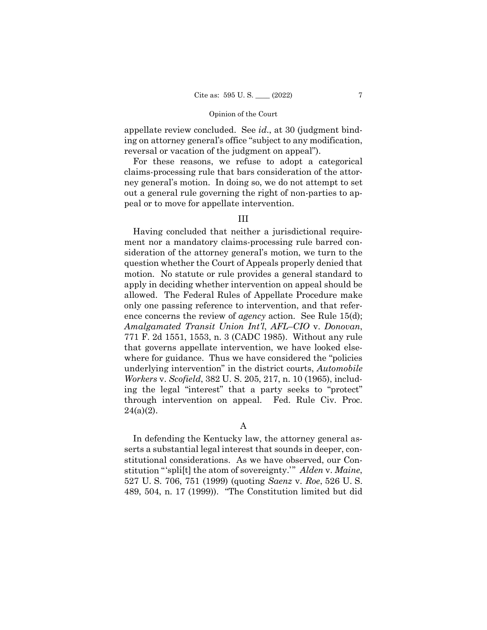appellate review concluded. See *id*., at 30 (judgment binding on attorney general's office "subject to any modification, reversal or vacation of the judgment on appeal").

For these reasons, we refuse to adopt a categorical claims-processing rule that bars consideration of the attorney general's motion. In doing so, we do not attempt to set out a general rule governing the right of non-parties to appeal or to move for appellate intervention.

# III

Having concluded that neither a jurisdictional requirement nor a mandatory claims-processing rule barred consideration of the attorney general's motion, we turn to the question whether the Court of Appeals properly denied that motion. No statute or rule provides a general standard to apply in deciding whether intervention on appeal should be allowed. The Federal Rules of Appellate Procedure make only one passing reference to intervention, and that reference concerns the review of *agency* action. See Rule 15(d); *Amalgamated Transit Union Int'l*, *AFL–CIO* v. *Donovan*, 771 F. 2d 1551, 1553, n. 3 (CADC 1985). Without any rule that governs appellate intervention, we have looked elsewhere for guidance. Thus we have considered the "policies underlying intervention" in the district courts, *Automobile Workers* v. *Scofield*, 382 U. S. 205, 217, n. 10 (1965), including the legal "interest" that a party seeks to "protect" through intervention on appeal. Fed. Rule Civ. Proc.  $24(a)(2)$ .

# A

In defending the Kentucky law, the attorney general asserts a substantial legal interest that sounds in deeper, constitutional considerations. As we have observed, our Constitution "'spli[t] the atom of sovereignty.'" *Alden* v. *Maine*, 527 U. S. 706, 751 (1999) (quoting *Saenz* v. *Roe*, 526 U. S. 489, 504, n. 17 (1999)). "The Constitution limited but did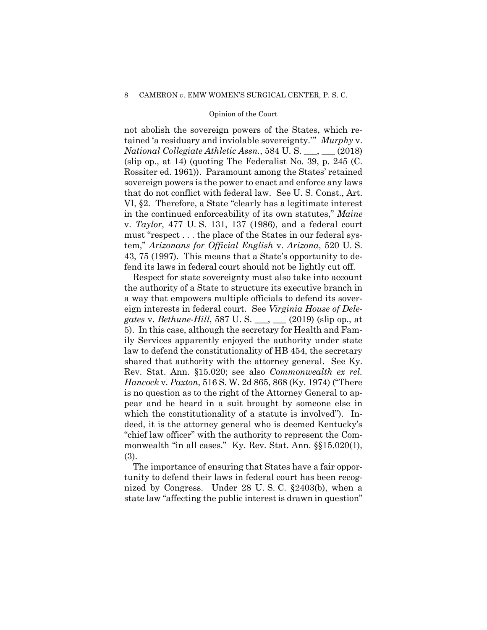not abolish the sovereign powers of the States, which retained 'a residuary and inviolable sovereignty.'" *Murphy* v. *National Collegiate Athletic Assn.*, 584 U. S. \_\_\_, \_\_\_ (2018) (slip op., at 14) (quoting The Federalist No. 39, p. 245 (C. Rossiter ed. 1961)). Paramount among the States' retained sovereign powers is the power to enact and enforce any laws that do not conflict with federal law. See U. S. Const., Art. VI, §2. Therefore, a State "clearly has a legitimate interest in the continued enforceability of its own statutes," *Maine* v. *Taylor*, 477 U. S. 131, 137 (1986), and a federal court must "respect . . . the place of the States in our federal system," *Arizonans for Official English* v. *Arizona*, 520 U. S. 43, 75 (1997). This means that a State's opportunity to defend its laws in federal court should not be lightly cut off.

Respect for state sovereignty must also take into account the authority of a State to structure its executive branch in a way that empowers multiple officials to defend its sovereign interests in federal court. See *Virginia House of Delegates* v. *Bethune-Hill*, 587 U. S. \_\_\_, \_\_\_ (2019) (slip op., at 5). In this case, although the secretary for Health and Family Services apparently enjoyed the authority under state law to defend the constitutionality of HB 454, the secretary shared that authority with the attorney general. See Ky. Rev. Stat. Ann. §15.020; see also *Commonwealth ex rel. Hancock* v. *Paxton*, 516 S. W. 2d 865, 868 (Ky. 1974) ("There is no question as to the right of the Attorney General to appear and be heard in a suit brought by someone else in which the constitutionality of a statute is involved"). Indeed, it is the attorney general who is deemed Kentucky's "chief law officer" with the authority to represent the Commonwealth "in all cases." Ky. Rev. Stat. Ann. §§15.020(1), (3).

The importance of ensuring that States have a fair opportunity to defend their laws in federal court has been recognized by Congress. Under 28 U. S. C. §2403(b), when a state law "affecting the public interest is drawn in question"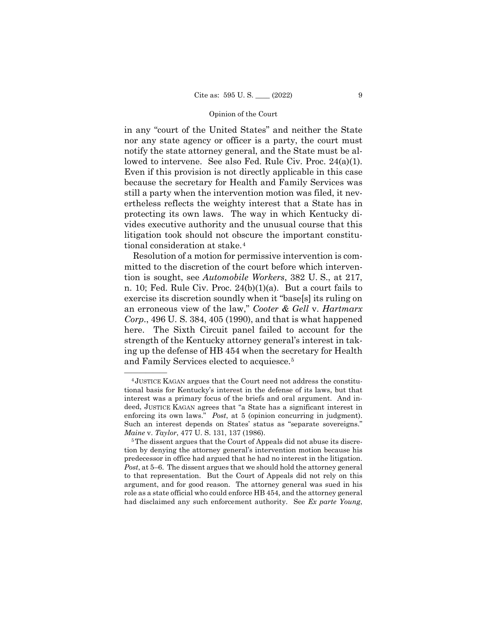in any "court of the United States" and neither the State nor any state agency or officer is a party, the court must notify the state attorney general, and the State must be allowed to intervene. See also Fed. Rule Civ. Proc. 24(a)(1). Even if this provision is not directly applicable in this case because the secretary for Health and Family Services was still a party when the intervention motion was filed, it nevertheless reflects the weighty interest that a State has in protecting its own laws. The way in which Kentucky divides executive authority and the unusual course that this litigation took should not obscure the important constitutional consideration at stake.[4](#page-12-0)

Resolution of a motion for permissive intervention is committed to the discretion of the court before which intervention is sought, see *Automobile Workers*, 382 U. S., at 217, n. 10; Fed. Rule Civ. Proc. 24(b)(1)(a). But a court fails to exercise its discretion soundly when it "base[s] its ruling on an erroneous view of the law," *Cooter & Gell* v. *Hartmarx Corp.*, 496 U. S. 384, 405 (1990), and that is what happened here. The Sixth Circuit panel failed to account for the strength of the Kentucky attorney general's interest in taking up the defense of HB 454 when the secretary for Health and Family Services elected to acquiesce.[5](#page-12-1)

<span id="page-12-0"></span><sup>&</sup>lt;sup>4</sup> JUSTICE KAGAN argues that the Court need not address the constitutional basis for Kentucky's interest in the defense of its laws, but that interest was a primary focus of the briefs and oral argument. And indeed, JUSTICE KAGAN agrees that "a State has a significant interest in enforcing its own laws." *Post*, at 5 (opinion concurring in judgment). Such an interest depends on States' status as "separate sovereigns." *Maine* v. *Taylor*, 477 U. S. 131, 137 (1986).

<span id="page-12-1"></span><sup>&</sup>lt;sup>5</sup>The dissent argues that the Court of Appeals did not abuse its discretion by denying the attorney general's intervention motion because his predecessor in office had argued that he had no interest in the litigation. *Post*, at 5–6. The dissent argues that we should hold the attorney general to that representation. But the Court of Appeals did not rely on this argument, and for good reason. The attorney general was sued in his role as a state official who could enforce HB 454, and the attorney general had disclaimed any such enforcement authority. See *Ex parte Young*,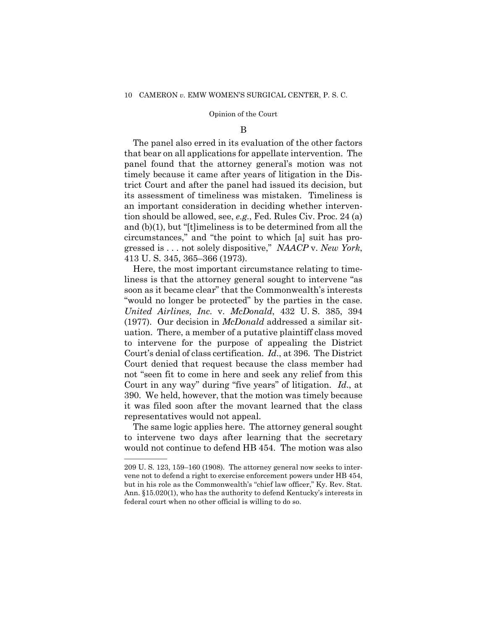#### B

The panel also erred in its evaluation of the other factors that bear on all applications for appellate intervention. The panel found that the attorney general's motion was not timely because it came after years of litigation in the District Court and after the panel had issued its decision, but its assessment of timeliness was mistaken. Timeliness is an important consideration in deciding whether intervention should be allowed, see, *e.g*., Fed. Rules Civ. Proc. 24 (a) and (b)(1), but "[t]imeliness is to be determined from all the circumstances," and "the point to which [a] suit has progressed is . . . not solely dispositive," *NAACP* v. *New York*, 413 U. S. 345, 365–366 (1973).

Here, the most important circumstance relating to timeliness is that the attorney general sought to intervene "as soon as it became clear" that the Commonwealth's interests "would no longer be protected" by the parties in the case. *United Airlines, Inc.* v. *McDonald*, 432 U. S. 385, 394 (1977). Our decision in *McDonald* addressed a similar situation.There, a member of a putative plaintiff class moved to intervene for the purpose of appealing the District Court's denial of class certification. *Id*., at 396. The District Court denied that request because the class member had not "seen fit to come in here and seek any relief from this Court in any way" during "five years" of litigation. *Id*., at 390. We held, however, that the motion was timely because it was filed soon after the movant learned that the class representatives would not appeal.

The same logic applies here. The attorney general sought to intervene two days after learning that the secretary would not continue to defend HB 454. The motion was also

——————

<sup>209</sup> U. S. 123, 159–160 (1908). The attorney general now seeks to intervene not to defend a right to exercise enforcement powers under HB 454, but in his role as the Commonwealth's "chief law officer," Ky. Rev. Stat. Ann. §15.020(1), who has the authority to defend Kentucky's interests in federal court when no other official is willing to do so.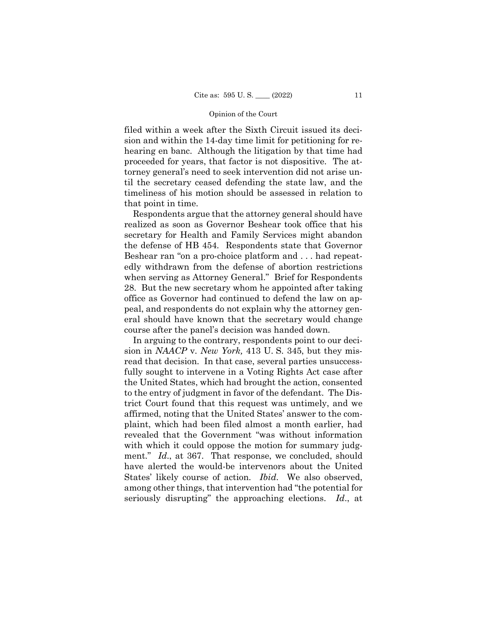filed within a week after the Sixth Circuit issued its decision and within the 14-day time limit for petitioning for rehearing en banc. Although the litigation by that time had proceeded for years, that factor is not dispositive. The attorney general's need to seek intervention did not arise until the secretary ceased defending the state law, and the timeliness of his motion should be assessed in relation to that point in time.

Respondents argue that the attorney general should have realized as soon as Governor Beshear took office that his secretary for Health and Family Services might abandon the defense of HB 454. Respondents state that Governor Beshear ran "on a pro-choice platform and . . . had repeatedly withdrawn from the defense of abortion restrictions when serving as Attorney General." Brief for Respondents 28. But the new secretary whom he appointed after taking office as Governor had continued to defend the law on appeal, and respondents do not explain why the attorney general should have known that the secretary would change course after the panel's decision was handed down.

In arguing to the contrary, respondents point to our decision in *NAACP* v. *New York,* 413 U. S. 345, but they misread that decision.In that case, several parties unsuccessfully sought to intervene in a Voting Rights Act case after the United States, which had brought the action, consented to the entry of judgment in favor of the defendant. The District Court found that this request was untimely, and we affirmed, noting that the United States' answer to the complaint, which had been filed almost a month earlier, had revealed that the Government "was without information with which it could oppose the motion for summary judgment." *Id*., at 367. That response, we concluded, should have alerted the would-be intervenors about the United States' likely course of action. *Ibid*. We also observed, among other things, that intervention had "the potential for seriously disrupting" the approaching elections. *Id*., at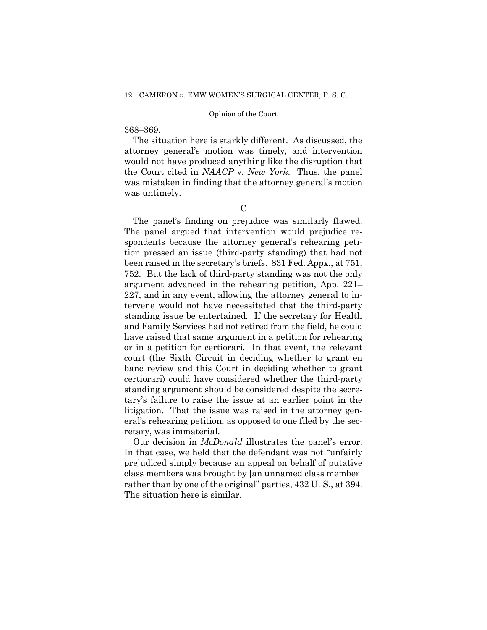# 368–369.

The situation here is starkly different. As discussed, the attorney general's motion was timely, and intervention would not have produced anything like the disruption that the Court cited in *NAACP* v. *New York*. Thus, the panel was mistaken in finding that the attorney general's motion was untimely.

# $\mathcal{C}$

The panel's finding on prejudice was similarly flawed. The panel argued that intervention would prejudice respondents because the attorney general's rehearing petition pressed an issue (third-party standing) that had not been raised in the secretary's briefs. 831 Fed. Appx., at 751, 752. But the lack of third-party standing was not the only argument advanced in the rehearing petition, App. 221– 227, and in any event, allowing the attorney general to intervene would not have necessitated that the third-party standing issue be entertained. If the secretary for Health and Family Services had not retired from the field, he could have raised that same argument in a petition for rehearing or in a petition for certiorari. In that event, the relevant court (the Sixth Circuit in deciding whether to grant en banc review and this Court in deciding whether to grant certiorari) could have considered whether the third-party standing argument should be considered despite the secretary's failure to raise the issue at an earlier point in the litigation. That the issue was raised in the attorney general's rehearing petition, as opposed to one filed by the secretary, was immaterial.

Our decision in *McDonald* illustrates the panel's error. In that case, we held that the defendant was not "unfairly prejudiced simply because an appeal on behalf of putative class members was brought by [an unnamed class member] rather than by one of the original" parties, 432 U. S., at 394. The situation here is similar.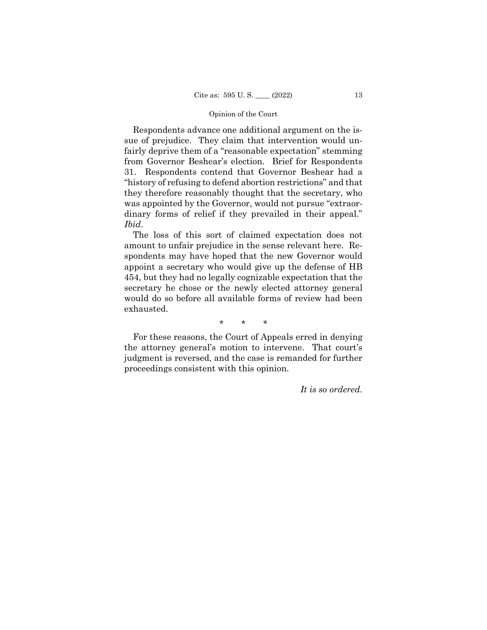Respondents advance one additional argument on the issue of prejudice. They claim that intervention would unfairly deprive them of a "reasonable expectation" stemming from Governor Beshear's election. Brief for Respondents 31. Respondents contend that Governor Beshear had a "history of refusing to defend abortion restrictions" and that they therefore reasonably thought that the secretary, who was appointed by the Governor, would not pursue "extraordinary forms of relief if they prevailed in their appeal." *Ibid*.

The loss of this sort of claimed expectation does not amount to unfair prejudice in the sense relevant here. Respondents may have hoped that the new Governor would appoint a secretary who would give up the defense of HB 454, but they had no legally cognizable expectation that the secretary he chose or the newly elected attorney general would do so before all available forms of review had been exhausted.

\* \* \*

For these reasons, the Court of Appeals erred in denying the attorney general's motion to intervene. That court's judgment is reversed, and the case is remanded for further proceedings consistent with this opinion.

*It is so ordered.*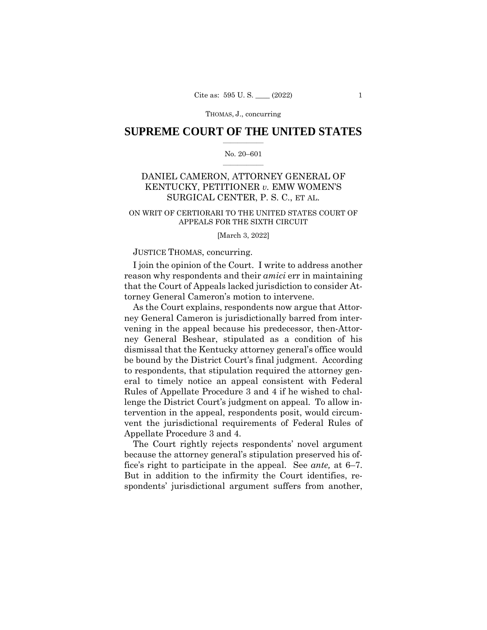# **SUPREME COURT OF THE UNITED STATES**  $\overline{\phantom{a}}$  , where  $\overline{\phantom{a}}$

### No. 20–601  $\overline{\phantom{a}}$  , where  $\overline{\phantom{a}}$

# DANIEL CAMERON, ATTORNEY GENERAL OF KENTUCKY, PETITIONER *v.* EMW WOMEN'S SURGICAL CENTER, P. S. C., ET AL.

# ON WRIT OF CERTIORARI TO THE UNITED STATES COURT OF APPEALS FOR THE SIXTH CIRCUIT

#### [March 3, 2022]

## JUSTICE THOMAS, concurring.

I join the opinion of the Court. I write to address another reason why respondents and their *amici* err in maintaining that the Court of Appeals lacked jurisdiction to consider Attorney General Cameron's motion to intervene.

As the Court explains, respondents now argue that Attorney General Cameron is jurisdictionally barred from intervening in the appeal because his predecessor, then-Attorney General Beshear, stipulated as a condition of his dismissal that the Kentucky attorney general's office would be bound by the District Court's final judgment. According to respondents, that stipulation required the attorney general to timely notice an appeal consistent with Federal Rules of Appellate Procedure 3 and 4 if he wished to challenge the District Court's judgment on appeal. To allow intervention in the appeal, respondents posit, would circumvent the jurisdictional requirements of Federal Rules of Appellate Procedure 3 and 4.

The Court rightly rejects respondents' novel argument because the attorney general's stipulation preserved his office's right to participate in the appeal. See *ante,* at 6–7. But in addition to the infirmity the Court identifies, respondents' jurisdictional argument suffers from another,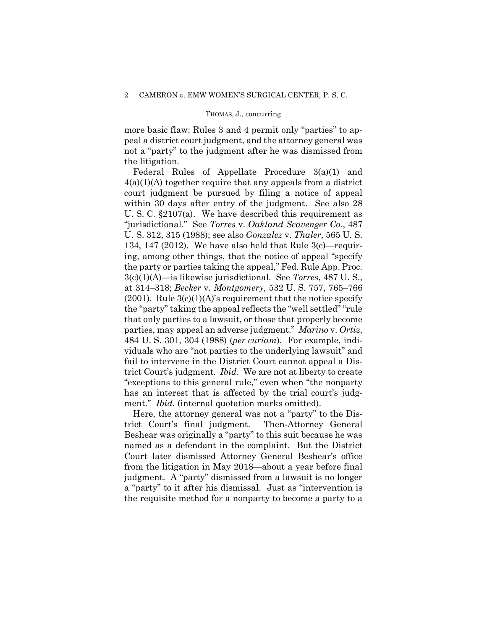more basic flaw: Rules 3 and 4 permit only "parties" to appeal a district court judgment, and the attorney general was not a "party" to the judgment after he was dismissed from the litigation.

Federal Rules of Appellate Procedure 3(a)(1) and 4(a)(1)(A) together require that any appeals from a district court judgment be pursued by filing a notice of appeal within 30 days after entry of the judgment. See also 28 U. S. C. §2107(a). We have described this requirement as "jurisdictional." See *Torres* v. *Oakland Scavenger Co.*, 487 U. S. 312, 315 (1988); see also *Gonzalez* v. *Thaler*, 565 U. S. 134, 147 (2012). We have also held that Rule 3(c)—requiring, among other things, that the notice of appeal "specify the party or parties taking the appeal," Fed. Rule App. Proc. 3(c)(1)(A)—is likewise jurisdictional. See *Torres*, 487 U. S., at 314–318; *Becker* v. *Montgomery*, 532 U. S. 757, 765–766  $(2001)$ . Rule  $3(c)(1)(A)$ 's requirement that the notice specify the "party" taking the appeal reflects the "well settled" "rule that only parties to a lawsuit, or those that properly become parties, may appeal an adverse judgment." *Marino* v. *Ortiz*, 484 U. S. 301, 304 (1988) (*per curiam*). For example, individuals who are "not parties to the underlying lawsuit" and fail to intervene in the District Court cannot appeal a District Court's judgment. *Ibid*. We are not at liberty to create "exceptions to this general rule," even when "the nonparty has an interest that is affected by the trial court's judgment." *Ibid.* (internal quotation marks omitted).

Here, the attorney general was not a "party" to the District Court's final judgment. Then-Attorney General Beshear was originally a "party" to this suit because he was named as a defendant in the complaint. But the District Court later dismissed Attorney General Beshear's office from the litigation in May 2018—about a year before final judgment. A "party" dismissed from a lawsuit is no longer a "party" to it after his dismissal. Just as "intervention is the requisite method for a nonparty to become a party to a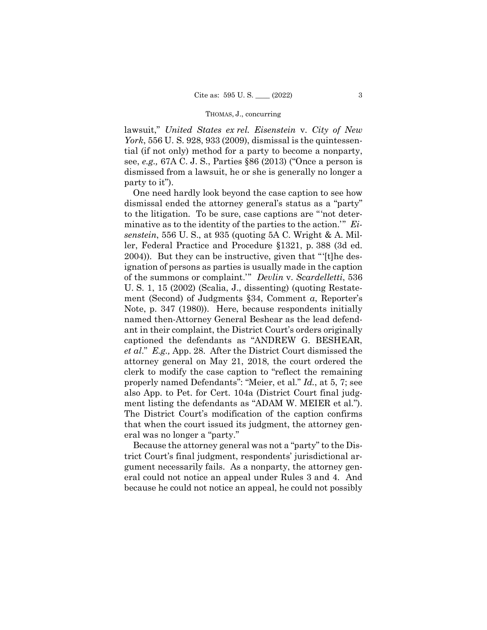lawsuit," *United States ex rel. Eisenstein* v. *City of New York*, 556 U. S. 928, 933 (2009), dismissal is the quintessential (if not only) method for a party to become a nonparty, see, *e.g.,* 67A C. J. S., Parties §86 (2013) ("Once a person is dismissed from a lawsuit, he or she is generally no longer a party to it").

One need hardly look beyond the case caption to see how dismissal ended the attorney general's status as a "party" to the litigation. To be sure, case captions are "'not determinative as to the identity of the parties to the action.'" *Eisenstein*, 556 U. S., at 935 (quoting 5A C. Wright & A. Miller, Federal Practice and Procedure §1321, p. 388 (3d ed. 2004)). But they can be instructive, given that "'[t]he designation of persons as parties is usually made in the caption of the summons or complaint.'" *Devlin* v. *Scardelletti*, 536 U. S. 1, 15 (2002) (Scalia, J., dissenting) (quoting Restatement (Second) of Judgments §34, Comment *a*, Reporter's Note, p. 347 (1980)). Here, because respondents initially named then-Attorney General Beshear as the lead defendant in their complaint, the District Court's orders originally captioned the defendants as "ANDREW G. BESHEAR, *et al*." *E.g.,* App. 28. After the District Court dismissed the attorney general on May 21, 2018, the court ordered the clerk to modify the case caption to "reflect the remaining properly named Defendants": "Meier, et al." *Id.*, at 5, 7; see also App. to Pet. for Cert. 104a (District Court final judgment listing the defendants as "ADAM W. MEIER et al."). The District Court's modification of the caption confirms that when the court issued its judgment, the attorney general was no longer a "party."

Because the attorney general was not a "party" to the District Court's final judgment, respondents' jurisdictional argument necessarily fails. As a nonparty, the attorney general could not notice an appeal under Rules 3 and 4. And because he could not notice an appeal, he could not possibly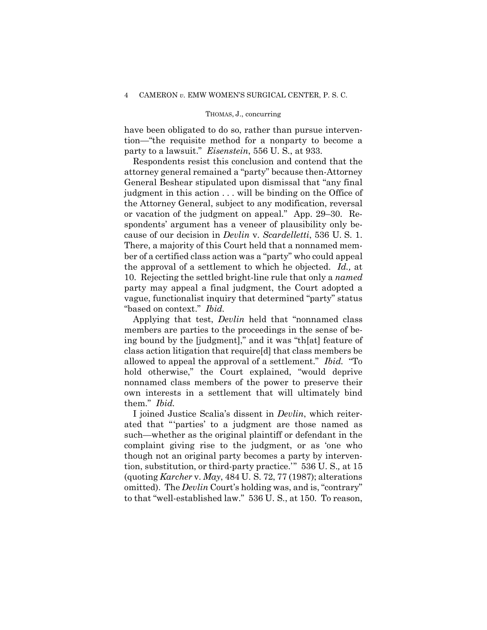have been obligated to do so, rather than pursue intervention—"the requisite method for a nonparty to become a party to a lawsuit." *Eisenstein*, 556 U. S., at 933.

Respondents resist this conclusion and contend that the attorney general remained a "party" because then-Attorney General Beshear stipulated upon dismissal that "any final judgment in this action . . . will be binding on the Office of the Attorney General, subject to any modification, reversal or vacation of the judgment on appeal." App. 29–30. Respondents' argument has a veneer of plausibility only because of our decision in *Devlin* v. *Scardelletti*, 536 U. S. 1. There, a majority of this Court held that a nonnamed member of a certified class action was a "party" who could appeal the approval of a settlement to which he objected. *Id.,* at 10. Rejecting the settled bright-line rule that only a *named* party may appeal a final judgment, the Court adopted a vague, functionalist inquiry that determined "party" status "based on context." *Ibid.*

Applying that test, *Devlin* held that "nonnamed class members are parties to the proceedings in the sense of being bound by the [judgment]," and it was "th[at] feature of class action litigation that require[d] that class members be allowed to appeal the approval of a settlement." *Ibid.* "To hold otherwise," the Court explained, "would deprive nonnamed class members of the power to preserve their own interests in a settlement that will ultimately bind them." *Ibid.*

I joined Justice Scalia's dissent in *Devlin*, which reiterated that "'parties' to a judgment are those named as such—whether as the original plaintiff or defendant in the complaint giving rise to the judgment, or as 'one who though not an original party becomes a party by intervention, substitution, or third-party practice.'" 536 U. S.*,* at 15 (quoting *Karcher* v. *May*, 484 U. S. 72, 77 (1987); alterations omitted). The *Devlin* Court's holding was, and is, "contrary" to that "well-established law." 536 U. S., at 150. To reason,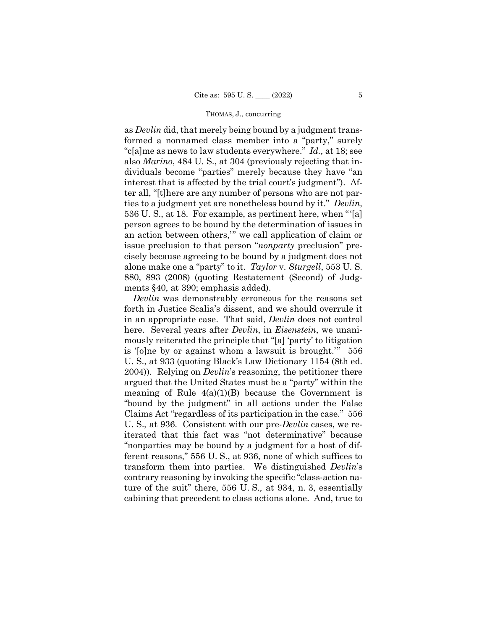as *Devlin* did, that merely being bound by a judgment transformed a nonnamed class member into a "party," surely "c[a]me as news to law students everywhere." *Id.,* at 18; see also *Marino*, 484 U. S., at 304 (previously rejecting that individuals become "parties" merely because they have "an interest that is affected by the trial court's judgment"). After all, "[t]here are any number of persons who are not parties to a judgment yet are nonetheless bound by it." *Devlin*, 536 U. S., at 18.For example, as pertinent here, when "'[a] person agrees to be bound by the determination of issues in an action between others,'" we call application of claim or issue preclusion to that person "*nonparty* preclusion" precisely because agreeing to be bound by a judgment does not alone make one a "party" to it. *Taylor* v. *Sturgell*, 553 U. S. 880, 893 (2008) (quoting Restatement (Second) of Judgments §40, at 390; emphasis added).

*Devlin* was demonstrably erroneous for the reasons set forth in Justice Scalia's dissent, and we should overrule it in an appropriate case. That said, *Devlin* does not control here. Several years after *Devlin*, in *Eisenstein*, we unanimously reiterated the principle that "[a] 'party' to litigation is '[o]ne by or against whom a lawsuit is brought.'" 556 U. S., at 933 (quoting Black's Law Dictionary 1154 (8th ed. 2004)). Relying on *Devlin*'s reasoning, the petitioner there argued that the United States must be a "party" within the meaning of Rule  $4(a)(1)(B)$  because the Government is "bound by the judgment" in all actions under the False Claims Act "regardless of its participation in the case." 556 U. S.*,* at 936. Consistent with our pre-*Devlin* cases, we reiterated that this fact was "not determinative" because "nonparties may be bound by a judgment for a host of different reasons," 556 U. S., at 936, none of which suffices to transform them into parties. We distinguished *Devlin*'s contrary reasoning by invoking the specific "class-action nature of the suit" there, 556 U. S.*,* at 934, n. 3, essentially cabining that precedent to class actions alone. And, true to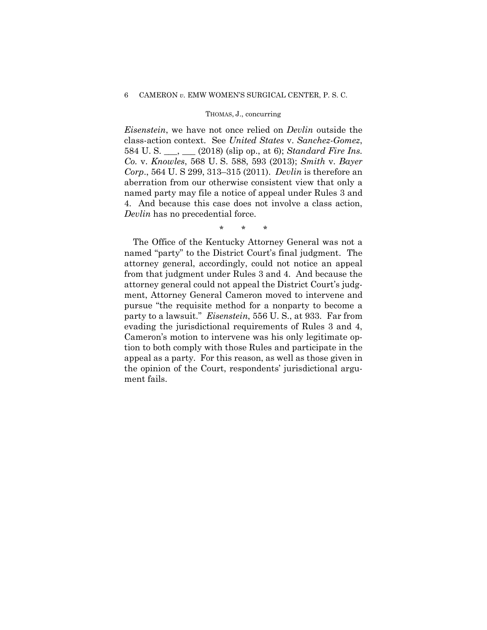## THOMAS, J., concurring

*Eisenstein*, we have not once relied on *Devlin* outside the class-action context. See *United States* v. *Sanchez-Gomez*, 584 U. S. \_\_\_, \_\_\_ (2018) (slip op., at 6); *Standard Fire Ins. Co.* v. *Knowles*, 568 U. S. 588, 593 (2013); *Smith* v. *Bayer Corp*., 564 U. S 299, 313–315 (2011). *Devlin* is therefore an aberration from our otherwise consistent view that only a named party may file a notice of appeal under Rules 3 and 4. And because this case does not involve a class action, *Devlin* has no precedential force.

\* \* \*

The Office of the Kentucky Attorney General was not a named "party" to the District Court's final judgment. The attorney general, accordingly, could not notice an appeal from that judgment under Rules 3 and 4. And because the attorney general could not appeal the District Court's judgment, Attorney General Cameron moved to intervene and pursue "the requisite method for a nonparty to become a party to a lawsuit." *Eisenstein*, 556 U. S., at 933. Far from evading the jurisdictional requirements of Rules 3 and 4, Cameron's motion to intervene was his only legitimate option to both comply with those Rules and participate in the appeal as a party. For this reason, as well as those given in the opinion of the Court, respondents' jurisdictional argument fails.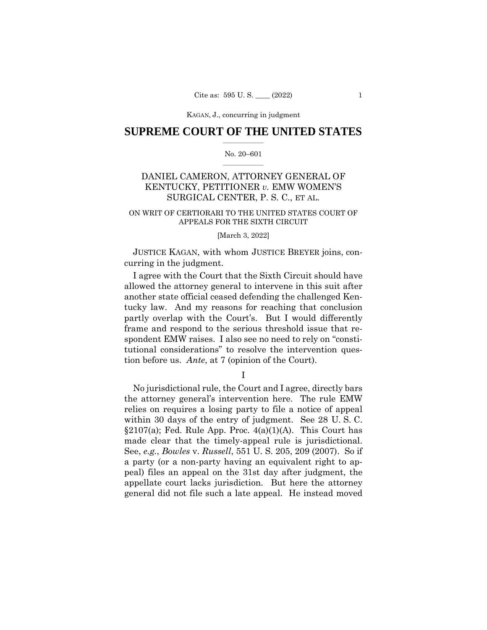KAGAN, J., concurring KAGAN, J., concurring in judgment

# **SUPREME COURT OF THE UNITED STATES**  $\overline{\phantom{a}}$  , where  $\overline{\phantom{a}}$

### No. 20–601  $\overline{\phantom{a}}$  , where  $\overline{\phantom{a}}$

# DANIEL CAMERON, ATTORNEY GENERAL OF KENTUCKY, PETITIONER *v.* EMW WOMEN'S SURGICAL CENTER, P. S. C., ET AL.

# ON WRIT OF CERTIORARI TO THE UNITED STATES COURT OF APPEALS FOR THE SIXTH CIRCUIT

## [March 3, 2022]

 JUSTICE KAGAN, with whom JUSTICE BREYER joins, concurring in the judgment.

I agree with the Court that the Sixth Circuit should have allowed the attorney general to intervene in this suit after another state official ceased defending the challenged Kentucky law. And my reasons for reaching that conclusion partly overlap with the Court's. But I would differently frame and respond to the serious threshold issue that respondent EMW raises. I also see no need to rely on "constitutional considerations" to resolve the intervention question before us. *Ante*, at 7 (opinion of the Court).

I

No jurisdictional rule, the Court and I agree, directly bars the attorney general's intervention here. The rule EMW relies on requires a losing party to file a notice of appeal within 30 days of the entry of judgment. See 28 U. S. C.  $\S2107(a)$ ; Fed. Rule App. Proc.  $4(a)(1)(A)$ . This Court has made clear that the timely-appeal rule is jurisdictional. See, *e.g.*, *Bowles* v. *Russell*, 551 U. S. 205, 209 (2007). So if a party (or a non-party having an equivalent right to appeal) files an appeal on the 31st day after judgment, the appellate court lacks jurisdiction. But here the attorney general did not file such a late appeal. He instead moved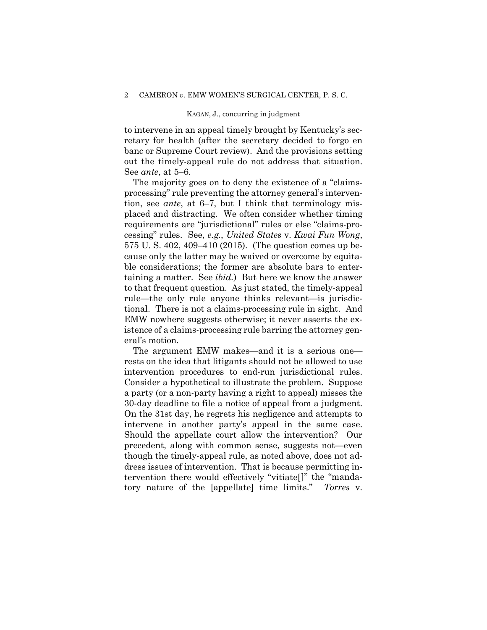### KAGAN, J., concurring in judgment

to intervene in an appeal timely brought by Kentucky's secretary for health (after the secretary decided to forgo en banc or Supreme Court review). And the provisions setting out the timely-appeal rule do not address that situation. See *ante*, at 5–6.

The majority goes on to deny the existence of a "claimsprocessing" rule preventing the attorney general's intervention, see *ante*, at 6–7, but I think that terminology misplaced and distracting. We often consider whether timing requirements are "jurisdictional" rules or else "claims-processing" rules. See, *e.g.*, *United States* v. *Kwai Fun Wong*, 575 U. S. 402, 409–410 (2015). (The question comes up because only the latter may be waived or overcome by equitable considerations; the former are absolute bars to entertaining a matter. See *ibid.*)But here we know the answer to that frequent question. As just stated, the timely-appeal rule—the only rule anyone thinks relevant—is jurisdictional. There is not a claims-processing rule in sight. And EMW nowhere suggests otherwise; it never asserts the existence of a claims-processing rule barring the attorney general's motion.

The argument EMW makes—and it is a serious one rests on the idea that litigants should not be allowed to use intervention procedures to end-run jurisdictional rules. Consider a hypothetical to illustrate the problem. Suppose a party (or a non-party having a right to appeal) misses the 30-day deadline to file a notice of appeal from a judgment. On the 31st day, he regrets his negligence and attempts to intervene in another party's appeal in the same case. Should the appellate court allow the intervention? Our precedent, along with common sense, suggests not—even though the timely-appeal rule, as noted above, does not address issues of intervention. That is because permitting intervention there would effectively "vitiate[]" the "mandatory nature of the [appellate] time limits." *Torres* v.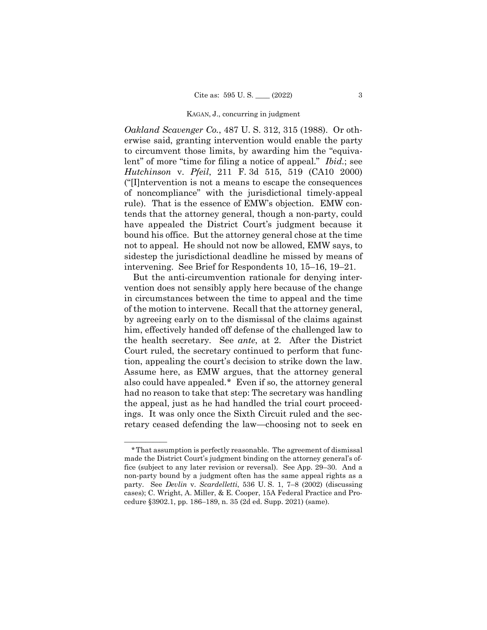#### KAGAN, J., concurring in judgment

*Oakland Scavenger Co.*, 487 U. S. 312, 315 (1988). Or otherwise said, granting intervention would enable the party to circumvent those limits, by awarding him the "equivalent" of more "time for filing a notice of appeal." *Ibid.*; see *Hutchinson* v. *Pfeil*, 211 F. 3d 515, 519 (CA10 2000) ("[I]ntervention is not a means to escape the consequences of noncompliance" with the jurisdictional timely-appeal rule). That is the essence of EMW's objection. EMW contends that the attorney general, though a non-party, could have appealed the District Court's judgment because it bound his office. But the attorney general chose at the time not to appeal. He should not now be allowed, EMW says, to sidestep the jurisdictional deadline he missed by means of intervening. See Brief for Respondents 10, 15–16, 19–21.

But the anti-circumvention rationale for denying intervention does not sensibly apply here because of the change in circumstances between the time to appeal and the time of the motion to intervene. Recall that the attorney general, by agreeing early on to the dismissal of the claims against him, effectively handed off defense of the challenged law to the health secretary. See *ante*, at 2. After the District Court ruled, the secretary continued to perform that function, appealing the court's decision to strike down the law. Assume here, as EMW argues, that the attorney general also could have appealed.[\\*](#page-25-0) Even if so, the attorney general had no reason to take that step: The secretary was handling the appeal, just as he had handled the trial court proceedings. It was only once the Sixth Circuit ruled and the secretary ceased defending the law—choosing not to seek en

——————

<span id="page-25-0"></span><sup>\*</sup>That assumption is perfectly reasonable. The agreement of dismissal made the District Court's judgment binding on the attorney general's office (subject to any later revision or reversal). See App. 29–30. And a non-party bound by a judgment often has the same appeal rights as a party. See *Devlin* v. *Scardelletti*, 536 U. S. 1, 7–8 (2002) (discussing cases); C. Wright, A. Miller, & E. Cooper, 15A Federal Practice and Procedure §3902.1, pp. 186–189, n. 35 (2d ed. Supp. 2021) (same).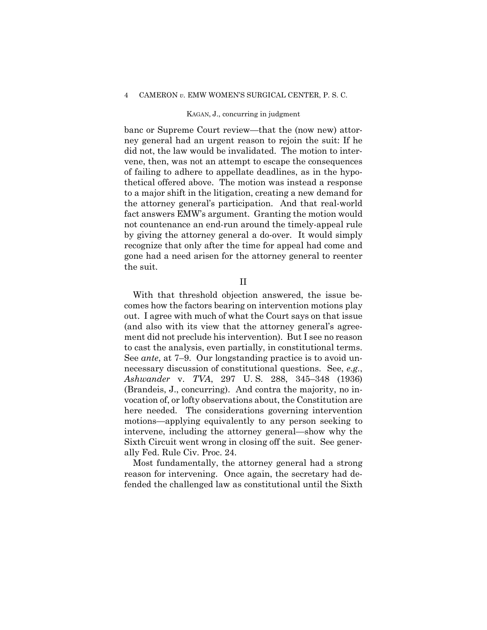### KAGAN, J., concurring in judgment

banc or Supreme Court review—that the (now new) attorney general had an urgent reason to rejoin the suit: If he did not, the law would be invalidated. The motion to intervene, then, was not an attempt to escape the consequences of failing to adhere to appellate deadlines, as in the hypothetical offered above. The motion was instead a response to a major shift in the litigation, creating a new demand for the attorney general's participation. And that real-world fact answers EMW's argument. Granting the motion would not countenance an end-run around the timely-appeal rule by giving the attorney general a do-over. It would simply recognize that only after the time for appeal had come and gone had a need arisen for the attorney general to reenter the suit.

# II

With that threshold objection answered, the issue becomes how the factors bearing on intervention motions play out. I agree with much of what the Court says on that issue (and also with its view that the attorney general's agreement did not preclude his intervention). But I see no reason to cast the analysis, even partially, in constitutional terms. See *ante*, at 7–9. Our longstanding practice is to avoid unnecessary discussion of constitutional questions. See, *e.g.*, *Ashwander* v. *TVA*, 297 U. S. 288, 345–348 (1936) (Brandeis, J., concurring). And contra the majority, no invocation of, or lofty observations about, the Constitution are here needed. The considerations governing intervention motions—applying equivalently to any person seeking to intervene, including the attorney general—show why the Sixth Circuit went wrong in closing off the suit. See generally Fed. Rule Civ. Proc. 24.

Most fundamentally, the attorney general had a strong reason for intervening. Once again, the secretary had defended the challenged law as constitutional until the Sixth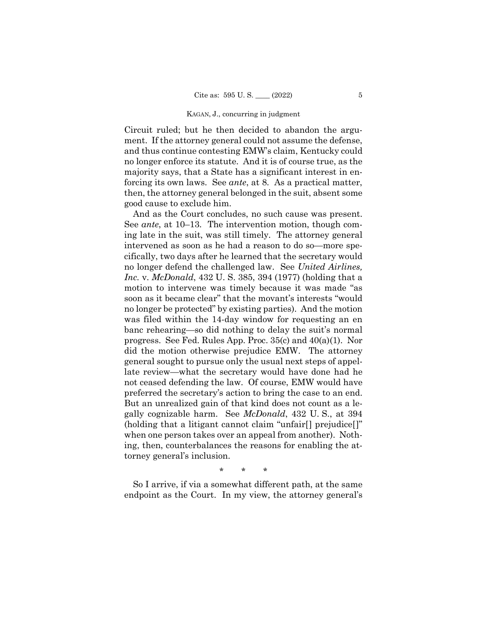#### KAGAN, J., concurring in judgment

Circuit ruled; but he then decided to abandon the argument. If the attorney general could not assume the defense, and thus continue contesting EMW's claim, Kentucky could no longer enforce its statute. And it is of course true, as the majority says, that a State has a significant interest in enforcing its own laws. See *ante*, at 8. As a practical matter, then, the attorney general belonged in the suit, absent some good cause to exclude him.

And as the Court concludes, no such cause was present. See *ante*, at 10–13. The intervention motion, though coming late in the suit, was still timely. The attorney general intervened as soon as he had a reason to do so—more specifically, two days after he learned that the secretary would no longer defend the challenged law. See *United Airlines, Inc.* v. *McDonald*, 432 U. S. 385, 394 (1977) (holding that a motion to intervene was timely because it was made "as soon as it became clear" that the movant's interests "would no longer be protected" by existing parties). And the motion was filed within the 14-day window for requesting an en banc rehearing—so did nothing to delay the suit's normal progress. See Fed. Rules App. Proc. 35(c) and 40(a)(1). Nor did the motion otherwise prejudice EMW. The attorney general sought to pursue only the usual next steps of appellate review—what the secretary would have done had he not ceased defending the law. Of course, EMW would have preferred the secretary's action to bring the case to an end. But an unrealized gain of that kind does not count as a legally cognizable harm. See *McDonald*, 432 U. S., at 394 (holding that a litigant cannot claim "unfair[] prejudice[]" when one person takes over an appeal from another). Nothing, then, counterbalances the reasons for enabling the attorney general's inclusion.

\* \* \*

So I arrive, if via a somewhat different path, at the same endpoint as the Court. In my view, the attorney general's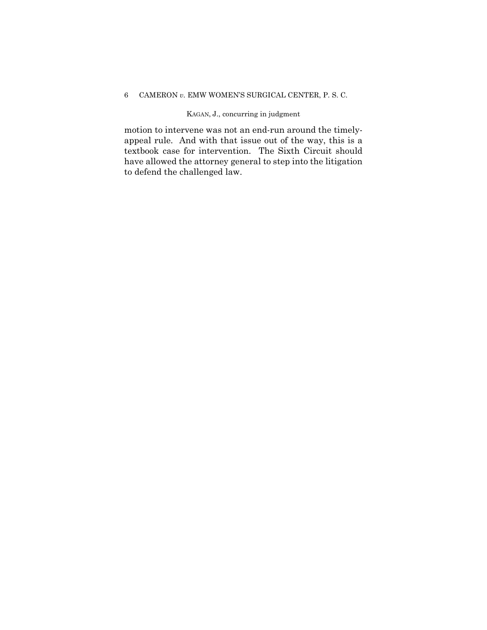# KAGAN, J., concurring in judgment

motion to intervene was not an end-run around the timelyappeal rule. And with that issue out of the way, this is a textbook case for intervention. The Sixth Circuit should have allowed the attorney general to step into the litigation to defend the challenged law.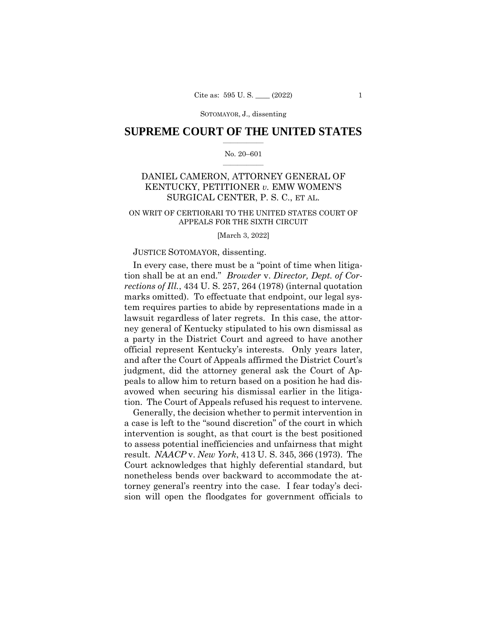# **SUPREME COURT OF THE UNITED STATES**  $\overline{\phantom{a}}$  , where  $\overline{\phantom{a}}$

### No. 20–601  $\overline{\phantom{a}}$  , where  $\overline{\phantom{a}}$

# DANIEL CAMERON, ATTORNEY GENERAL OF KENTUCKY, PETITIONER *v.* EMW WOMEN'S SURGICAL CENTER, P. S. C., ET AL.

# ON WRIT OF CERTIORARI TO THE UNITED STATES COURT OF APPEALS FOR THE SIXTH CIRCUIT

[March 3, 2022]

# JUSTICE SOTOMAYOR, dissenting.

In every case, there must be a "point of time when litigation shall be at an end." *Browder* v. *Director, Dept. of Corrections of Ill.*, 434 U. S. 257, 264 (1978) (internal quotation marks omitted). To effectuate that endpoint, our legal system requires parties to abide by representations made in a lawsuit regardless of later regrets. In this case, the attorney general of Kentucky stipulated to his own dismissal as a party in the District Court and agreed to have another official represent Kentucky's interests. Only years later, and after the Court of Appeals affirmed the District Court's judgment, did the attorney general ask the Court of Appeals to allow him to return based on a position he had disavowed when securing his dismissal earlier in the litigation. The Court of Appeals refused his request to intervene.

Generally, the decision whether to permit intervention in a case is left to the "sound discretion" of the court in which intervention is sought, as that court is the best positioned to assess potential inefficiencies and unfairness that might result. *NAACP* v. *New York*, 413 U. S. 345, 366 (1973). The Court acknowledges that highly deferential standard, but nonetheless bends over backward to accommodate the attorney general's reentry into the case. I fear today's decision will open the floodgates for government officials to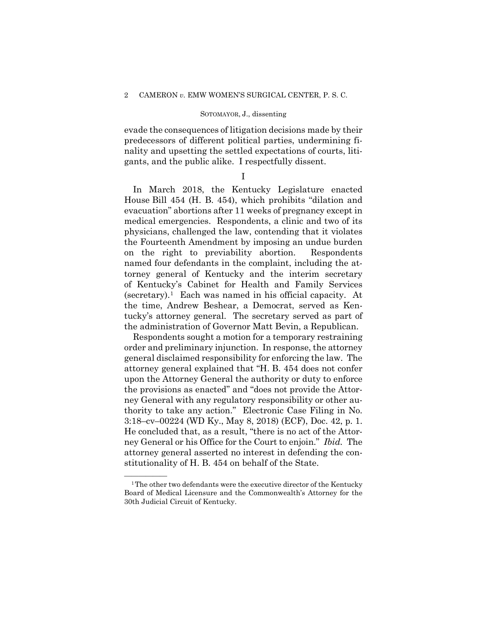## SOTOMAYOR, J., dissenting

evade the consequences of litigation decisions made by their predecessors of different political parties, undermining finality and upsetting the settled expectations of courts, litigants, and the public alike. I respectfully dissent.

I

In March 2018, the Kentucky Legislature enacted House Bill 454 (H. B. 454), which prohibits "dilation and evacuation" abortions after 11 weeks of pregnancy except in medical emergencies. Respondents, a clinic and two of its physicians, challenged the law, contending that it violates the Fourteenth Amendment by imposing an undue burden on the right to previability abortion. Respondents named four defendants in the complaint, including the attorney general of Kentucky and the interim secretary of Kentucky's Cabinet for Health and Family Services (secretary).<sup>[1](#page-30-0)</sup> Each was named in his official capacity. At the time, Andrew Beshear, a Democrat, served as Kentucky's attorney general. The secretary served as part of the administration of Governor Matt Bevin, a Republican.

Respondents sought a motion for a temporary restraining order and preliminary injunction. In response, the attorney general disclaimed responsibility for enforcing the law. The attorney general explained that "H. B. 454 does not confer upon the Attorney General the authority or duty to enforce the provisions as enacted" and "does not provide the Attorney General with any regulatory responsibility or other authority to take any action." Electronic Case Filing in No. 3:18–cv–00224 (WD Ky., May 8, 2018) (ECF), Doc. 42, p. 1. He concluded that, as a result, "there is no act of the Attorney General or his Office for the Court to enjoin." *Ibid.* The attorney general asserted no interest in defending the constitutionality of H. B. 454 on behalf of the State.

<span id="page-30-0"></span> $1$ <sup>1</sup> The other two defendants were the executive director of the Kentucky Board of Medical Licensure and the Commonwealth's Attorney for the 30th Judicial Circuit of Kentucky.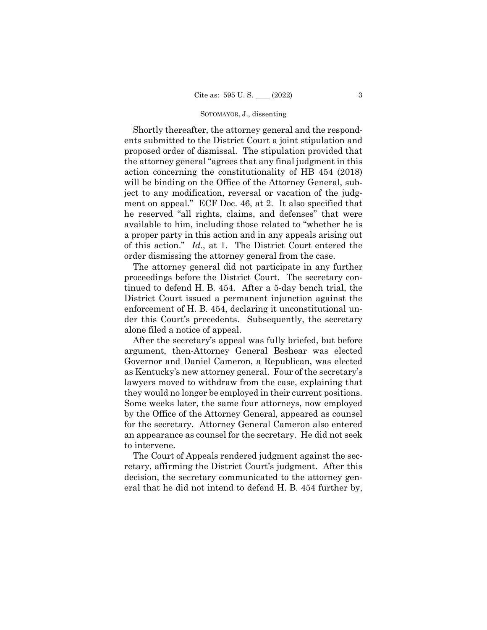Shortly thereafter, the attorney general and the respondents submitted to the District Court a joint stipulation and proposed order of dismissal. The stipulation provided that the attorney general "agrees that any final judgment in this action concerning the constitutionality of HB 454 (2018) will be binding on the Office of the Attorney General, subject to any modification, reversal or vacation of the judgment on appeal." ECF Doc. 46, at 2. It also specified that he reserved "all rights, claims, and defenses" that were available to him, including those related to "whether he is a proper party in this action and in any appeals arising out of this action." *Id.*, at 1. The District Court entered the order dismissing the attorney general from the case.

The attorney general did not participate in any further proceedings before the District Court. The secretary continued to defend H. B. 454. After a 5-day bench trial, the District Court issued a permanent injunction against the enforcement of H. B. 454, declaring it unconstitutional under this Court's precedents. Subsequently, the secretary alone filed a notice of appeal.

After the secretary's appeal was fully briefed, but before argument, then-Attorney General Beshear was elected Governor and Daniel Cameron, a Republican, was elected as Kentucky's new attorney general. Four of the secretary's lawyers moved to withdraw from the case, explaining that they would no longer be employed in their current positions. Some weeks later, the same four attorneys, now employed by the Office of the Attorney General, appeared as counsel for the secretary. Attorney General Cameron also entered an appearance as counsel for the secretary. He did not seek to intervene.

The Court of Appeals rendered judgment against the secretary, affirming the District Court's judgment. After this decision, the secretary communicated to the attorney general that he did not intend to defend H. B. 454 further by,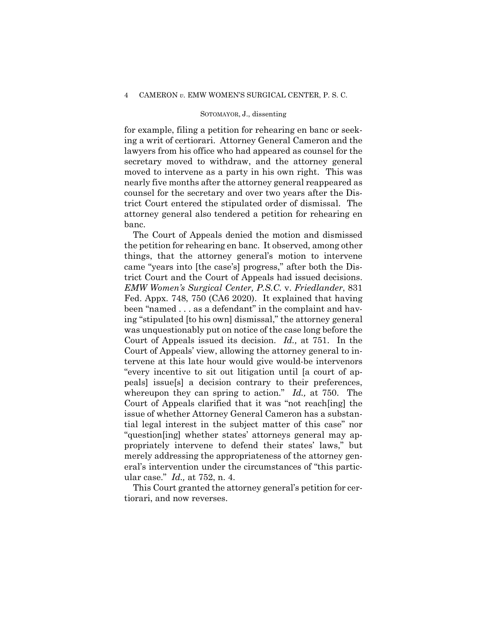### SOTOMAYOR, J., dissenting

for example, filing a petition for rehearing en banc or seeking a writ of certiorari. Attorney General Cameron and the lawyers from his office who had appeared as counsel for the secretary moved to withdraw, and the attorney general moved to intervene as a party in his own right. This was nearly five months after the attorney general reappeared as counsel for the secretary and over two years after the District Court entered the stipulated order of dismissal. The attorney general also tendered a petition for rehearing en banc.

The Court of Appeals denied the motion and dismissed the petition for rehearing en banc. It observed, among other things, that the attorney general's motion to intervene came "years into [the case's] progress," after both the District Court and the Court of Appeals had issued decisions. *EMW Women's Surgical Center, P.S.C.* v. *Friedlander*, 831 Fed. Appx. 748, 750 (CA6 2020). It explained that having been "named . . . as a defendant" in the complaint and having "stipulated [to his own] dismissal," the attorney general was unquestionably put on notice of the case long before the Court of Appeals issued its decision. *Id.,* at 751. In the Court of Appeals' view, allowing the attorney general to intervene at this late hour would give would-be intervenors "every incentive to sit out litigation until [a court of appeals] issue[s] a decision contrary to their preferences, whereupon they can spring to action." *Id.,* at 750. The Court of Appeals clarified that it was "not reach[ing] the issue of whether Attorney General Cameron has a substantial legal interest in the subject matter of this case" nor "question[ing] whether states' attorneys general may appropriately intervene to defend their states' laws," but merely addressing the appropriateness of the attorney general's intervention under the circumstances of "this particular case." *Id.,* at 752, n. 4.

This Court granted the attorney general's petition for certiorari, and now reverses.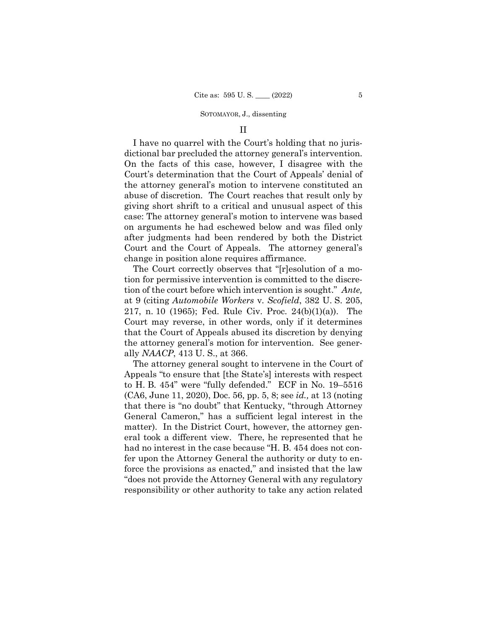## II

I have no quarrel with the Court's holding that no jurisdictional bar precluded the attorney general's intervention. On the facts of this case, however, I disagree with the Court's determination that the Court of Appeals' denial of the attorney general's motion to intervene constituted an abuse of discretion. The Court reaches that result only by giving short shrift to a critical and unusual aspect of this case: The attorney general's motion to intervene was based on arguments he had eschewed below and was filed only after judgments had been rendered by both the District Court and the Court of Appeals. The attorney general's change in position alone requires affirmance.

The Court correctly observes that "[r]esolution of a motion for permissive intervention is committed to the discretion of the court before which intervention is sought." *Ante,* at 9 (citing *Automobile Workers* v. *Scofield*, 382 U. S. 205, 217, n. 10 (1965); Fed. Rule Civ. Proc. 24(b)(1)(a)). The Court may reverse, in other words, only if it determines that the Court of Appeals abused its discretion by denying the attorney general's motion for intervention. See generally *NAACP*, 413 U. S., at 366.

The attorney general sought to intervene in the Court of Appeals "to ensure that [the State's] interests with respect to H. B. 454" were "fully defended." ECF in No. 19–5516 (CA6, June 11, 2020), Doc. 56, pp. 5, 8; see *id.,* at 13 (noting that there is "no doubt" that Kentucky, "through Attorney General Cameron," has a sufficient legal interest in the matter). In the District Court, however, the attorney general took a different view. There, he represented that he had no interest in the case because "H. B. 454 does not confer upon the Attorney General the authority or duty to enforce the provisions as enacted," and insisted that the law "does not provide the Attorney General with any regulatory responsibility or other authority to take any action related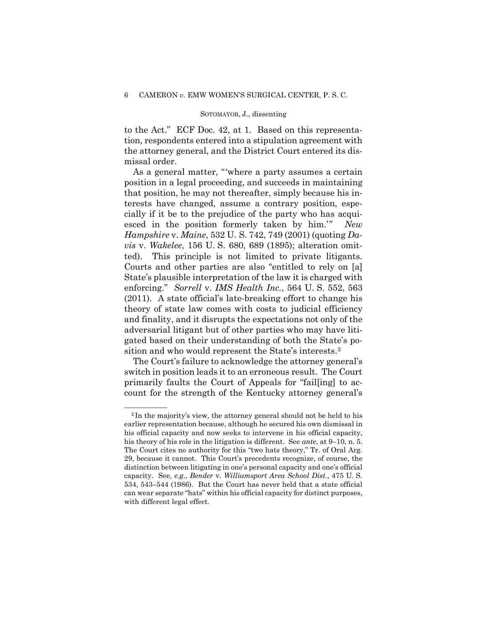to the Act." ECF Doc. 42, at 1. Based on this representation, respondents entered into a stipulation agreement with the attorney general, and the District Court entered its dismissal order.

As a general matter, "'where a party assumes a certain position in a legal proceeding, and succeeds in maintaining that position, he may not thereafter, simply because his interests have changed, assume a contrary position, especially if it be to the prejudice of the party who has acquiesced in the position formerly taken by him.'" *New Hampshire* v. *Maine*, 532 U. S. 742, 749 (2001) (quoting *Davis* v. *Wakelee*, 156 U. S. 680, 689 (1895); alteration omitted). This principle is not limited to private litigants. Courts and other parties are also "entitled to rely on [a] State's plausible interpretation of the law it is charged with enforcing." *Sorrell* v. *IMS Health Inc.*, 564 U. S. 552, 563 (2011). A state official's late-breaking effort to change his theory of state law comes with costs to judicial efficiency and finality, and it disrupts the expectations not only of the adversarial litigant but of other parties who may have litigated based on their understanding of both the State's position and who would represent the State's interests.[2](#page-34-0)

The Court's failure to acknowledge the attorney general's switch in position leads it to an erroneous result. The Court primarily faults the Court of Appeals for "fail[ing] to account for the strength of the Kentucky attorney general's

<span id="page-34-0"></span> $2$ In the majority's view, the attorney general should not be held to his earlier representation because, although he secured his own dismissal in his official capacity and now seeks to intervene in his official capacity, his theory of his role in the litigation is different. See *ante*, at 9–10, n. 5. The Court cites no authority for this "two hats theory," Tr. of Oral Arg. 29, because it cannot. This Court's precedents recognize, of course, the distinction between litigating in one's personal capacity and one's official capacity. See, *e.g., Bender* v. *Williamsport Area School Dist.*, 475 U. S. 534, 543–544 (1986). But the Court has never held that a state official can wear separate "hats" within his official capacity for distinct purposes, with different legal effect.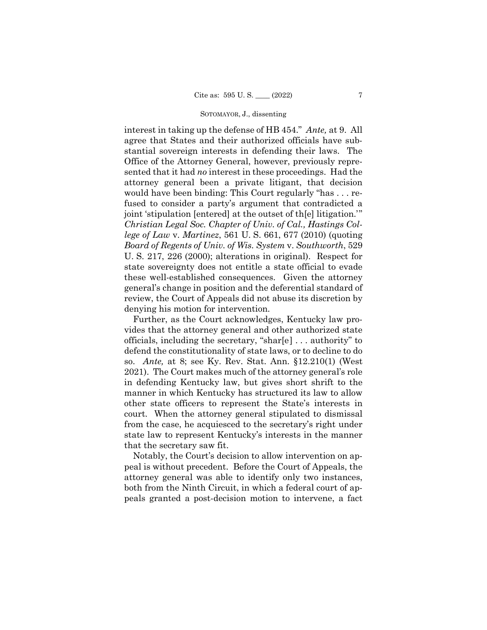interest in taking up the defense of HB 454." *Ante,* at 9. All agree that States and their authorized officials have substantial sovereign interests in defending their laws. The Office of the Attorney General, however, previously represented that it had *no* interest in these proceedings. Had the attorney general been a private litigant, that decision would have been binding: This Court regularly "has . . . refused to consider a party's argument that contradicted a joint 'stipulation [entered] at the outset of th[e] litigation.'" *Christian Legal Soc. Chapter of Univ. of Cal., Hastings College of Law* v. *Martinez*, 561 U. S. 661, 677 (2010) (quoting *Board of Regents of Univ. of Wis. System* v. *Southworth*, 529 U. S. 217, 226 (2000); alterations in original). Respect for state sovereignty does not entitle a state official to evade these well-established consequences. Given the attorney general's change in position and the deferential standard of review, the Court of Appeals did not abuse its discretion by denying his motion for intervention.

Further, as the Court acknowledges, Kentucky law provides that the attorney general and other authorized state officials, including the secretary, "shar[e] . . . authority" to defend the constitutionality of state laws, or to decline to do so. *Ante,* at 8; see Ky. Rev. Stat. Ann. §12.210(1) (West 2021). The Court makes much of the attorney general's role in defending Kentucky law, but gives short shrift to the manner in which Kentucky has structured its law to allow other state officers to represent the State's interests in court. When the attorney general stipulated to dismissal from the case, he acquiesced to the secretary's right under state law to represent Kentucky's interests in the manner that the secretary saw fit.

Notably, the Court's decision to allow intervention on appeal is without precedent. Before the Court of Appeals, the attorney general was able to identify only two instances, both from the Ninth Circuit, in which a federal court of appeals granted a post-decision motion to intervene, a fact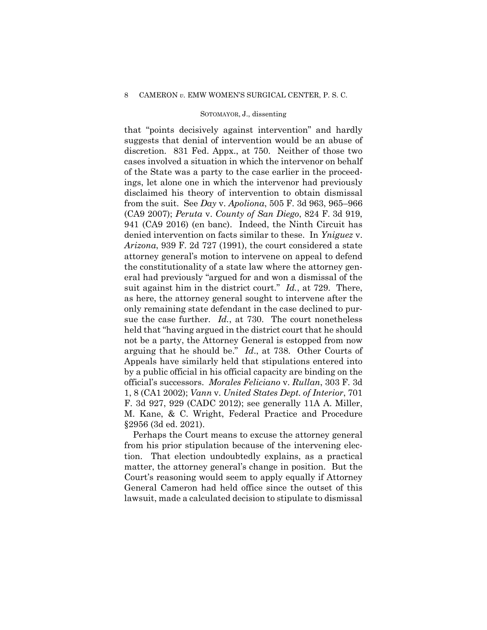### SOTOMAYOR, J., dissenting

that "points decisively against intervention" and hardly suggests that denial of intervention would be an abuse of discretion. 831 Fed. Appx., at 750. Neither of those two cases involved a situation in which the intervenor on behalf of the State was a party to the case earlier in the proceedings, let alone one in which the intervenor had previously disclaimed his theory of intervention to obtain dismissal from the suit. See *Day* v. *Apoliona*, 505 F. 3d 963, 965–966 (CA9 2007); *Peruta* v. *County of San Diego*, 824 F. 3d 919, 941 (CA9 2016) (en banc). Indeed, the Ninth Circuit has denied intervention on facts similar to these. In *Yniguez* v. *Arizona*, 939 F. 2d 727 (1991), the court considered a state attorney general's motion to intervene on appeal to defend the constitutionality of a state law where the attorney general had previously "argued for and won a dismissal of the suit against him in the district court." *Id.*, at 729. There, as here, the attorney general sought to intervene after the only remaining state defendant in the case declined to pursue the case further. *Id.*, at 730. The court nonetheless held that "having argued in the district court that he should not be a party, the Attorney General is estopped from now arguing that he should be." *Id*., at 738. Other Courts of Appeals have similarly held that stipulations entered into by a public official in his official capacity are binding on the official's successors. *Morales Feliciano* v. *Rullan*, 303 F. 3d 1, 8 (CA1 2002); *Vann* v. *United States Dept. of Interior*, 701 F. 3d 927, 929 (CADC 2012); see generally 11A A. Miller, M. Kane, & C. Wright, Federal Practice and Procedure §2956 (3d ed. 2021).

Perhaps the Court means to excuse the attorney general from his prior stipulation because of the intervening election. That election undoubtedly explains, as a practical matter, the attorney general's change in position. But the Court's reasoning would seem to apply equally if Attorney General Cameron had held office since the outset of this lawsuit, made a calculated decision to stipulate to dismissal